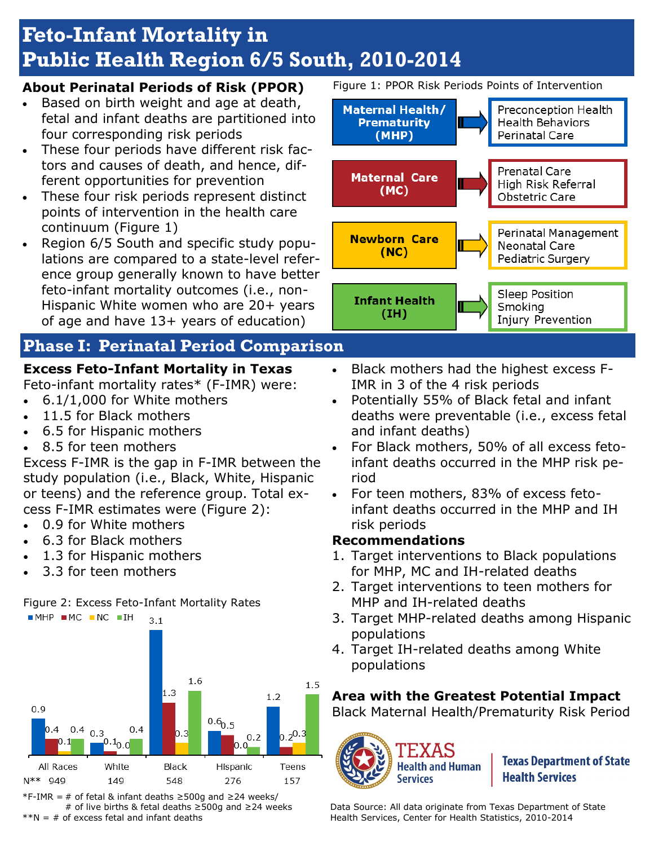# **Feto-Infant Mortality in Public Health Region 6/5 South, 2010-2014**

#### **About Perinatal Periods of Risk (PPOR)**

- Based on birth weight and age at death, fetal and infant deaths are partitioned into four corresponding risk periods
- These four periods have different risk factors and causes of death, and hence, different opportunities for prevention
- These four risk periods represent distinct points of intervention in the health care continuum (Figure 1)
- Region 6/5 South and specific study populations are compared to a state-level reference group generally known to have better feto-infant mortality outcomes (i.e., non-Hispanic White women who are 20+ years of age and have 13+ years of education)

# **Phase I: Perinatal Period Comparison**

# **Excess Feto-Infant Mortality in Texas**

Feto-infant mortality rates\* (F-IMR) were:

- 6.1/1,000 for White mothers
- 11.5 for Black mothers
- 6.5 for Hispanic mothers
- 8.5 for teen mothers

Excess F-IMR is the gap in F-IMR between the study population (i.e., Black, White, Hispanic or teens) and the reference group. Total excess F-IMR estimates were (Figure 2):

- 0.9 for White mothers
- 6.3 for Black mothers
- 1.3 for Hispanic mothers
- 3.3 for teen mothers





\*F-IMR = # of fetal & infant deaths ≥500g and ≥24 weeks/ # of live births & fetal deaths ≥500g and ≥24 weeks  $*N = #$  of excess fetal and infant deaths

Figure 1: PPOR Risk Periods Points of Intervention



Smoking Injury Prevention

- Black mothers had the highest excess F-IMR in 3 of the 4 risk periods
- Potentially 55% of Black fetal and infant deaths were preventable (i.e., excess fetal and infant deaths)
- For Black mothers, 50% of all excess fetoinfant deaths occurred in the MHP risk period
- For teen mothers, 83% of excess fetoinfant deaths occurred in the MHP and IH risk periods

#### **Recommendations**

 $(IH)$ 

- 1. Target interventions to Black populations for MHP, MC and IH-related deaths
- 2. Target interventions to teen mothers for MHP and IH-related deaths
- 3. Target MHP-related deaths among Hispanic populations
- 4. Target IH-related deaths among White populations

# **Area with the Greatest Potential Impact**

Black Maternal Health/Prematurity Risk Period



**Texas Department of State Health Services** 

Data Source: All data originate from Texas Department of State Health Services, Center for Health Statistics, 2010-2014